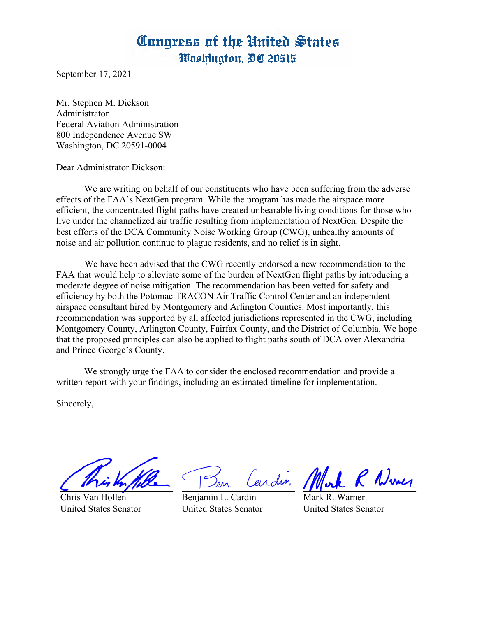## Congress of the United States Washington, DC 20515

September 17, 2021

Mr. Stephen M. Dickson Administrator Federal Aviation Administration 800 Independence Avenue SW Washington, DC 20591-0004

Dear Administrator Dickson:

 We are writing on behalf of our constituents who have been suffering from the adverse effects of the FAA's NextGen program. While the program has made the airspace more efficient, the concentrated flight paths have created unbearable living conditions for those who live under the channelized air traffic resulting from implementation of NextGen. Despite the best efforts of the DCA Community Noise Working Group (CWG), unhealthy amounts of noise and air pollution continue to plague residents, and no relief is in sight.

 We have been advised that the CWG recently endorsed a new recommendation to the FAA that would help to alleviate some of the burden of NextGen flight paths by introducing a moderate degree of noise mitigation. The recommendation has been vetted for safety and efficiency by both the Potomac TRACON Air Traffic Control Center and an independent airspace consultant hired by Montgomery and Arlington Counties. Most importantly, this recommendation was supported by all affected jurisdictions represented in the CWG, including Montgomery County, Arlington County, Fairfax County, and the District of Columbia. We hope that the proposed principles can also be applied to flight paths south of DCA over Alexandria and Prince George's County.

We strongly urge the FAA to consider the enclosed recommendation and provide a written report with your findings, including an estimated timeline for implementation.

Sincerely,

Chris Van Hollen United States Senator

Lardin

Benjamin L. Cardin United States Senator

C Numer

Mark R. Warner United States Senator